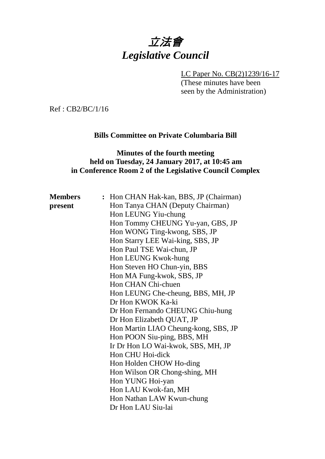# 立法會 *Legislative Council*

LC Paper No. CB(2)1239/16-17

(These minutes have been seen by the Administration)

Ref : CB2/BC/1/16

## **Bills Committee on Private Columbaria Bill**

#### **Minutes of the fourth meeting held on Tuesday, 24 January 2017, at 10:45 am in Conference Room 2 of the Legislative Council Complex**

| <b>Members</b> | : Hon CHAN Hak-kan, BBS, JP (Chairman) |
|----------------|----------------------------------------|
| present        | Hon Tanya CHAN (Deputy Chairman)       |
|                | Hon LEUNG Yiu-chung                    |
|                | Hon Tommy CHEUNG Yu-yan, GBS, JP       |
|                | Hon WONG Ting-kwong, SBS, JP           |
|                | Hon Starry LEE Wai-king, SBS, JP       |
|                | Hon Paul TSE Wai-chun, JP              |
|                | Hon LEUNG Kwok-hung                    |
|                | Hon Steven HO Chun-yin, BBS            |
|                | Hon MA Fung-kwok, SBS, JP              |
|                | Hon CHAN Chi-chuen                     |
|                | Hon LEUNG Che-cheung, BBS, MH, JP      |
|                | Dr Hon KWOK Ka-ki                      |
|                | Dr Hon Fernando CHEUNG Chiu-hung       |
|                | Dr Hon Elizabeth QUAT, JP              |
|                | Hon Martin LIAO Cheung-kong, SBS, JP   |
|                | Hon POON Siu-ping, BBS, MH             |
|                | Ir Dr Hon LO Wai-kwok, SBS, MH, JP     |
|                | Hon CHU Hoi-dick                       |
|                | Hon Holden CHOW Ho-ding                |
|                | Hon Wilson OR Chong-shing, MH          |
|                | Hon YUNG Hoi-yan                       |
|                | Hon LAU Kwok-fan, MH                   |
|                | Hon Nathan LAW Kwun-chung              |
|                | Dr Hon LAU Siu-lai                     |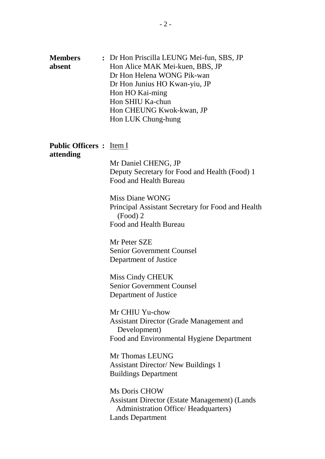| <b>Members</b> | : Dr Hon Priscilla LEUNG Mei-fun, SBS, JP |
|----------------|-------------------------------------------|
| absent         | Hon Alice MAK Mei-kuen, BBS, JP           |
|                | Dr Hon Helena WONG Pik-wan                |
|                | Dr Hon Junius HO Kwan-yiu, JP             |
|                | Hon HO Kai-ming                           |
|                | Hon SHIU Ka-chun                          |
|                | Hon CHEUNG Kwok-kwan, JP                  |
|                | Hon LUK Chung-hung                        |
|                |                                           |

#### **Public Officers :** Item I **attending**

Mr Daniel CHENG, JP Deputy Secretary for Food and Health (Food) 1 Food and Health Bureau

Miss Diane WONG Principal Assistant Secretary for Food and Health (Food) 2 Food and Health Bureau

Mr Peter SZE Senior Government Counsel Department of Justice

Miss Cindy CHEUK Senior Government Counsel Department of Justice

Mr CHIU Yu-chow Assistant Director (Grade Management and Development) Food and Environmental Hygiene Department

Mr Thomas LEUNG Assistant Director/ New Buildings 1 Buildings Department

Ms Doris CHOW Assistant Director (Estate Management) (Lands Administration Office/ Headquarters) Lands Department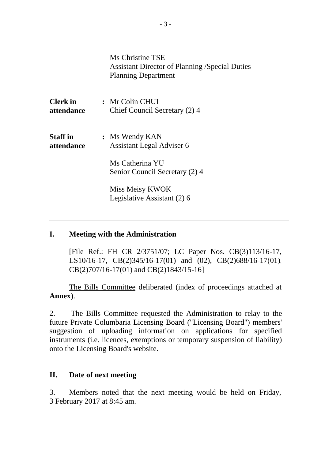| Ms Christine TSE                                      |
|-------------------------------------------------------|
| <b>Assistant Director of Planning /Special Duties</b> |
| <b>Planning Department</b>                            |

| <b>Clerk</b> in | : Mr Colin CHUI                                   |
|-----------------|---------------------------------------------------|
| attendance      | Chief Council Secretary (2) 4                     |
| <b>Staff</b> in | : Ms Wendy KAN                                    |
| attendance      | Assistant Legal Adviser 6                         |
|                 | Ms Catherina YU<br>Senior Council Secretary (2) 4 |
|                 | Miss Meisy KWOK<br>Legislative Assistant (2) 6    |

#### **I. Meeting with the Administration**

[File Ref.: FH CR 2/3751/07; LC Paper Nos. CB(3)113/16-17, LS10/16-17, CB(2)345/16-17(01) and (02), CB(2)688/16-17(01), CB(2)707/16-17(01) and CB(2)1843/15-16]

The Bills Committee deliberated (index of proceedings attached at **Annex**).

2. The Bills Committee requested the Administration to relay to the future Private Columbaria Licensing Board ("Licensing Board") members' suggestion of uploading information on applications for specified instruments (i.e. licences, exemptions or temporary suspension of liability) onto the Licensing Board's website.

#### **II. Date of next meeting**

3. Members noted that the next meeting would be held on Friday, 3 February 2017 at 8:45 am.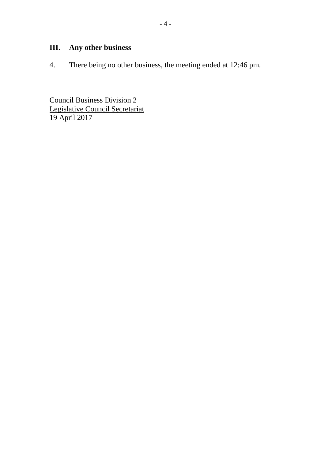# **III. Any other business**

4. There being no other business, the meeting ended at 12:46 pm.

Council Business Division 2 Legislative Council Secretariat 19 April 2017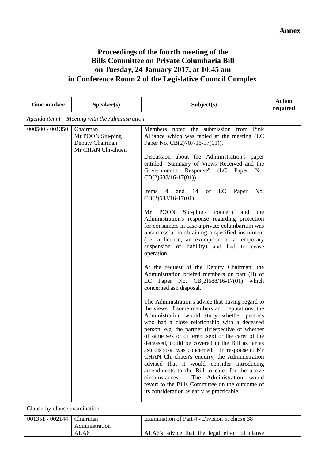## **Proceedings of the fourth meeting of the Bills Committee on Private Columbaria Bill on Tuesday, 24 January 2017, at 10:45 am in Conference Room 2 of the Legislative Council Complex**

| <b>Time marker</b>           | Speaker(s)                                                           | Subject(s)                                                                                                                                                                                                                                                                                                                                                                                                                                                       | <b>Action</b><br>required |
|------------------------------|----------------------------------------------------------------------|------------------------------------------------------------------------------------------------------------------------------------------------------------------------------------------------------------------------------------------------------------------------------------------------------------------------------------------------------------------------------------------------------------------------------------------------------------------|---------------------------|
|                              | Agenda item $I$ – Meeting with the Administration                    |                                                                                                                                                                                                                                                                                                                                                                                                                                                                  |                           |
| $000500 - 001350$            | Chairman<br>Mr POON Siu-ping<br>Deputy Chairman<br>Mr CHAN Chi-chuen | Members noted the submission from Pink<br>Alliance which was tabled at the meeting (LC<br>Paper No. CB(2)707/16-17(01)).                                                                                                                                                                                                                                                                                                                                         |                           |
|                              |                                                                      | Discussion about the Administration's paper<br>entitled "Summary of Views Received and the<br>Government's Response"<br>(LC Paper<br>No.<br>$CB(2)688/16-17(01)).$                                                                                                                                                                                                                                                                                               |                           |
|                              |                                                                      | and $14$<br>of LC<br>Paper<br>Items 4<br>No.<br>$CB(2)688/16-17(01)$                                                                                                                                                                                                                                                                                                                                                                                             |                           |
|                              |                                                                      | Siu-ping's<br><b>POON</b><br>Mr<br>and<br>concern<br>the<br>Administration's response regarding protection<br>for consumers in case a private columbarium was<br>unsuccessful in obtaining a specified instrument<br>(i.e. a licence, an exemption or a temporary<br>suspension of liability) and had to cease<br>operation.                                                                                                                                     |                           |
|                              |                                                                      | At the request of the Deputy Chairman, the<br>Administration briefed members on part (B) of<br>LC Paper No. $CB(2)688/16-17(01)$<br>which<br>concerned ash disposal.                                                                                                                                                                                                                                                                                             |                           |
|                              |                                                                      | The Administration's advice that having regard to<br>the views of some members and deputations, the<br>Administration would study whether persons<br>who had a close relationship with a deceased<br>person, e.g. the partner (irrespective of whether<br>of same sex or different sex) or the carer of the<br>deceased, could be covered in the Bill as far as<br>ash disposal was concerned. In response to Mr<br>CHAN Chi-chuen's enquiry, the Administration |                           |
|                              |                                                                      | advised that it would consider introducing<br>amendments to the Bill to cater for the above<br>circumstances.<br>The Administration would<br>revert to the Bills Committee on the outcome of<br>its consideration as early as practicable.                                                                                                                                                                                                                       |                           |
| Clause-by-clause examination |                                                                      |                                                                                                                                                                                                                                                                                                                                                                                                                                                                  |                           |
| 001351 - 002144              | Chairman<br>Administration<br>ALA6                                   | Examination of Part 4 - Division 5, clause 38<br>ALA6's advice that the legal effect of clause                                                                                                                                                                                                                                                                                                                                                                   |                           |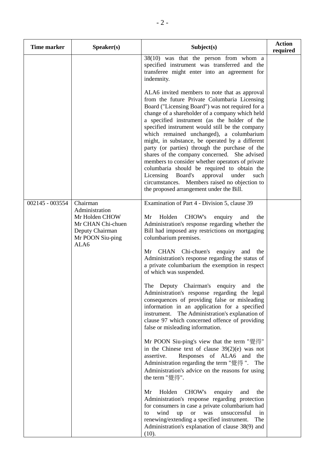| <b>Time marker</b> | Speaker(s)                                                                                                       | Subject(s)                                                                                                                                                                                                                                                                                                                                                                                                                                                                                                                                                                                                                                                                                                                                                                                                                                                                                                                                                                                                                                                                                                                                                                                                                                                                                                                                                        | <b>Action</b><br>required |
|--------------------|------------------------------------------------------------------------------------------------------------------|-------------------------------------------------------------------------------------------------------------------------------------------------------------------------------------------------------------------------------------------------------------------------------------------------------------------------------------------------------------------------------------------------------------------------------------------------------------------------------------------------------------------------------------------------------------------------------------------------------------------------------------------------------------------------------------------------------------------------------------------------------------------------------------------------------------------------------------------------------------------------------------------------------------------------------------------------------------------------------------------------------------------------------------------------------------------------------------------------------------------------------------------------------------------------------------------------------------------------------------------------------------------------------------------------------------------------------------------------------------------|---------------------------|
|                    |                                                                                                                  | 38(10) was that the person from whom a<br>specified instrument was transferred and the<br>transferee might enter into an agreement for<br>indemnity.<br>ALA6 invited members to note that as approval<br>from the future Private Columbaria Licensing<br>Board ("Licensing Board") was not required for a<br>change of a shareholder of a company which held<br>a specified instrument (as the holder of the<br>specified instrument would still be the company<br>which remained unchanged), a columbarium                                                                                                                                                                                                                                                                                                                                                                                                                                                                                                                                                                                                                                                                                                                                                                                                                                                       |                           |
|                    |                                                                                                                  | might, in substance, be operated by a different<br>party (or parties) through the purchase of the<br>shares of the company concerned. She advised<br>members to consider whether operators of private<br>columbaria should be required to obtain the<br>Board's<br>approval<br>Licensing<br>under<br>such<br>circumstances. Members raised no objection to<br>the proposed arrangement under the Bill.                                                                                                                                                                                                                                                                                                                                                                                                                                                                                                                                                                                                                                                                                                                                                                                                                                                                                                                                                            |                           |
| 002145 - 003554    | Chairman<br>Administration<br>Mr Holden CHOW<br>Mr CHAN Chi-chuen<br>Deputy Chairman<br>Mr POON Siu-ping<br>ALA6 | Examination of Part 4 - Division 5, clause 39<br>CHOW's<br>Mr<br>Holden<br>enquiry<br>and<br>the<br>Administration's response regarding whether the<br>Bill had imposed any restrictions on mortgaging<br>columbarium premises.<br>Mr CHAN Chi-chuen's enquiry and<br>the<br>Administration's response regarding the status of<br>a private columbarium the exemption in respect<br>of which was suspended.<br>The Deputy Chairman's enquiry<br>and<br>the<br>Administration's response regarding the legal<br>consequences of providing false or misleading<br>information in an application for a specified<br>instrument. The Administration's explanation of<br>clause 97 which concerned offence of providing<br>false or misleading information.<br>Mr POON Siu-ping's view that the term "覺得"<br>in the Chinese text of clause $39(2)(e)$ was not<br>assertive.<br>Responses of ALA6 and<br>the<br>Administration regarding the term "覺得".<br>The<br>Administration's advice on the reasons for using<br>the term "覺得".<br>Mr<br>Holden<br>CHOW's<br>enquiry<br>and<br>the<br>Administration's response regarding protection<br>for consumers in case a private columbarium had<br>wind<br>unsuccessful<br>up<br><sub>or</sub><br>was<br>in<br>to<br>renewing/extending a specified instrument.<br>The<br>Administration's explanation of clause 38(9) and |                           |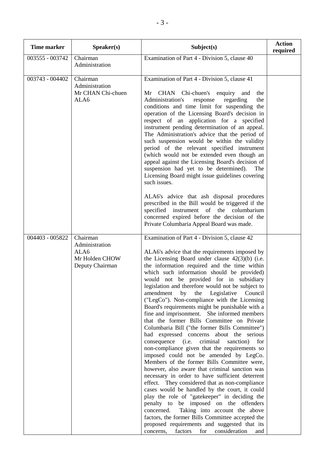| <b>Time marker</b> | Speaker(s)                                                              | Subject(s)                                                                                                                                                                                                                                                                                                                                                                                                                                                                                                                                                                                                                                                                                                                                                                                                                                                                                                                                                                                                                                                                                                                                                                                                                                                                                                                                                                                                          | <b>Action</b><br>required |
|--------------------|-------------------------------------------------------------------------|---------------------------------------------------------------------------------------------------------------------------------------------------------------------------------------------------------------------------------------------------------------------------------------------------------------------------------------------------------------------------------------------------------------------------------------------------------------------------------------------------------------------------------------------------------------------------------------------------------------------------------------------------------------------------------------------------------------------------------------------------------------------------------------------------------------------------------------------------------------------------------------------------------------------------------------------------------------------------------------------------------------------------------------------------------------------------------------------------------------------------------------------------------------------------------------------------------------------------------------------------------------------------------------------------------------------------------------------------------------------------------------------------------------------|---------------------------|
| 003555 - 003742    | Chairman<br>Administration                                              | Examination of Part 4 - Division 5, clause 40                                                                                                                                                                                                                                                                                                                                                                                                                                                                                                                                                                                                                                                                                                                                                                                                                                                                                                                                                                                                                                                                                                                                                                                                                                                                                                                                                                       |                           |
| 003743 - 004402    | Chairman<br>Administration<br>Mr CHAN Chi-chuen<br>ALA6                 | Examination of Part 4 - Division 5, clause 41<br>CHAN Chi-chuen's enquiry and<br>Mr<br>the<br>Administration's<br>response<br>regarding<br>the<br>conditions and time limit for suspending the<br>operation of the Licensing Board's decision in<br>respect of an application for a specified<br>instrument pending determination of an appeal.<br>The Administration's advice that the period of<br>such suspension would be within the validity<br>period of the relevant specified instrument<br>(which would not be extended even though an<br>appeal against the Licensing Board's decision of<br>suspension had yet to be determined).<br>The<br>Licensing Board might issue guidelines covering<br>such issues.                                                                                                                                                                                                                                                                                                                                                                                                                                                                                                                                                                                                                                                                                              |                           |
|                    |                                                                         | ALA6's advice that ash disposal procedures<br>prescribed in the Bill would be triggered if the<br>specified<br>instrument of the columbarium<br>concerned expired before the decision of the<br>Private Columbaria Appeal Board was made.                                                                                                                                                                                                                                                                                                                                                                                                                                                                                                                                                                                                                                                                                                                                                                                                                                                                                                                                                                                                                                                                                                                                                                           |                           |
| 004403 - 005822    | Chairman<br>Administration<br>ALA6<br>Mr Holden CHOW<br>Deputy Chairman | Examination of Part 4 - Division 5, clause 42<br>ALA6's advice that the requirements imposed by<br>the Licensing Board under clause $42(3)(b)$ (i.e.<br>the information required and the time within<br>which such information should be provided)<br>would not be provided for in subsidiary<br>legislation and therefore would not be subject to<br>amendment<br>by<br>the<br>Legislative<br>Council<br>("LegCo"). Non-compliance with the Licensing<br>Board's requirements might be punishable with a<br>fine and imprisonment. She informed members<br>that the former Bills Committee on Private<br>Columbaria Bill ("the former Bills Committee")<br>had expressed concerns about the serious<br>(i.e.<br>criminal<br>consequence<br>sanction)<br>for<br>non-compliance given that the requirements so<br>imposed could not be amended by LegCo.<br>Members of the former Bills Committee were,<br>however, also aware that criminal sanction was<br>necessary in order to have sufficient deterrent<br>effect. They considered that as non-compliance<br>cases would be handled by the court, it could<br>play the role of "gatekeeper" in deciding the<br>penalty to be imposed on the offenders<br>Taking into account the above<br>concerned.<br>factors, the former Bills Committee accepted the<br>proposed requirements and suggested that its<br>for<br>consideration<br>concerns,<br>factors<br>and |                           |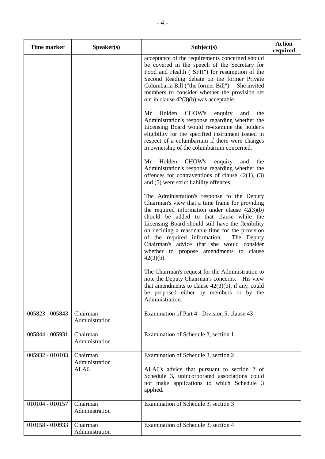| <b>Time marker</b> | Speaker(s)                         | Subject(s)                                                                                                                                                                                                                                                                                                                                                                                                                                                   | <b>Action</b><br>required |
|--------------------|------------------------------------|--------------------------------------------------------------------------------------------------------------------------------------------------------------------------------------------------------------------------------------------------------------------------------------------------------------------------------------------------------------------------------------------------------------------------------------------------------------|---------------------------|
|                    |                                    | acceptance of the requirements concerned should<br>be covered in the speech of the Secretary for<br>Food and Health ("SFH") for resumption of the<br>Second Reading debate on the former Private<br>Columbaria Bill ("the former Bill"). She invited<br>members to consider whether the provision set<br>out in clause $42(3)(b)$ was acceptable.                                                                                                            |                           |
|                    |                                    | Holden<br>CHOW's<br>Mr<br>the<br>enquiry<br>and<br>Administration's response regarding whether the<br>Licensing Board would re-examine the holder's<br>eligibility for the specified instrument issued in<br>respect of a columbarium if there were changes<br>in ownership of the columbarium concerned.                                                                                                                                                    |                           |
|                    |                                    | CHOW's<br>Holden<br>Mr<br>enquiry<br>and<br>the<br>Administration's response regarding whether the<br>offences for contraventions of clause $42(1)$ , (3)<br>and (5) were strict liability offences.                                                                                                                                                                                                                                                         |                           |
|                    |                                    | The Administration's response to the Deputy<br>Chairman's view that a time frame for providing<br>the required information under clause $42(3)(b)$<br>should be added to that clause while the<br>Licensing Board should still have the flexibility<br>on deciding a reasonable time for the provision<br>of the required information.<br>The Deputy<br>Chairman's advice that she would consider<br>whether to propose amendments to clause<br>$42(3)(b)$ . |                           |
|                    |                                    | The Chairman's request for the Administration to<br>note the Deputy Chairman's concerns. His view<br>that amendments to clause $42(3)(b)$ , if any, could<br>be proposed either by members or by the<br>Administration.                                                                                                                                                                                                                                      |                           |
| 005823 - 005843    | Chairman<br>Administration         | Examination of Part 4 - Division 5, clause 43                                                                                                                                                                                                                                                                                                                                                                                                                |                           |
| 005844 - 005931    | Chairman<br>Administration         | Examination of Schedule 3, section 1                                                                                                                                                                                                                                                                                                                                                                                                                         |                           |
| 005932 - 010103    | Chairman<br>Administration<br>ALA6 | Examination of Schedule 3, section 2<br>ALA6's advice that pursuant to section 2 of<br>Schedule 3, unincorporated associations could<br>not make applications to which Schedule 3<br>applied.                                                                                                                                                                                                                                                                |                           |
| 010104 - 010157    | Chairman<br>Administration         | Examination of Schedule 3, section 3                                                                                                                                                                                                                                                                                                                                                                                                                         |                           |
| 010158 - 010933    | Chairman<br>Administration         | Examination of Schedule 3, section 4                                                                                                                                                                                                                                                                                                                                                                                                                         |                           |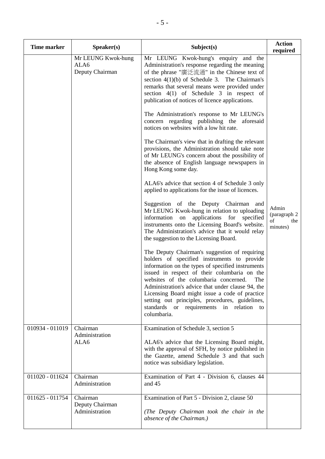| <b>Time marker</b> | Speaker(s)                                    | Subject(s)                                                                                                                                                                                                                                                                                                                                                                                                                                                                                                                                                                                                                                                                                                                                                                                                                                                                                                                                                                                                                                                                                                                                                                                                                                                                                                                                                                                                                                                                                                                                                                                               | <b>Action</b><br>required                       |
|--------------------|-----------------------------------------------|----------------------------------------------------------------------------------------------------------------------------------------------------------------------------------------------------------------------------------------------------------------------------------------------------------------------------------------------------------------------------------------------------------------------------------------------------------------------------------------------------------------------------------------------------------------------------------------------------------------------------------------------------------------------------------------------------------------------------------------------------------------------------------------------------------------------------------------------------------------------------------------------------------------------------------------------------------------------------------------------------------------------------------------------------------------------------------------------------------------------------------------------------------------------------------------------------------------------------------------------------------------------------------------------------------------------------------------------------------------------------------------------------------------------------------------------------------------------------------------------------------------------------------------------------------------------------------------------------------|-------------------------------------------------|
|                    | Mr LEUNG Kwok-hung<br>ALA6<br>Deputy Chairman | Mr LEUNG Kwok-hung's enquiry and the<br>Administration's response regarding the meaning<br>of the phrase "廣泛流通" in the Chinese text of<br>section $4(1)(b)$ of Schedule 3. The Chairman's<br>remarks that several means were provided under<br>section $4(1)$ of Schedule 3 in respect of<br>publication of notices of licence applications.<br>The Administration's response to Mr LEUNG's<br>concern regarding publishing the<br>aforesaid<br>notices on websites with a low hit rate.<br>The Chairman's view that in drafting the relevant<br>provisions, the Administration should take note<br>of Mr LEUNG's concern about the possibility of<br>the absence of English language newspapers in<br>Hong Kong some day.<br>ALA6's advice that section 4 of Schedule 3 only<br>applied to applications for the issue of licences.<br>Suggestion of the Deputy Chairman and<br>Mr LEUNG Kwok-hung in relation to uploading<br>information on applications for<br>specified<br>instruments onto the Licensing Board's website.<br>The Administration's advice that it would relay<br>the suggestion to the Licensing Board.<br>The Deputy Chairman's suggestion of requiring<br>holders of specified instruments to provide<br>information on the types of specified instruments<br>issued in respect of their columbaria on the<br>websites of the columbaria concerned.<br>The<br>Administration's advice that under clause 94, the<br>Licensing Board might issue a code of practice<br>setting out principles, procedures, guidelines,<br>standards or requirements in relation<br>to<br>columbaria. | Admin<br>(paragraph 2)<br>of<br>the<br>minutes) |
| 010934 - 011019    | Chairman<br>Administration<br>ALA6            | Examination of Schedule 3, section 5<br>ALA6's advice that the Licensing Board might,<br>with the approval of SFH, by notice published in<br>the Gazette, amend Schedule 3 and that such<br>notice was subsidiary legislation.                                                                                                                                                                                                                                                                                                                                                                                                                                                                                                                                                                                                                                                                                                                                                                                                                                                                                                                                                                                                                                                                                                                                                                                                                                                                                                                                                                           |                                                 |
| 011020 - 011624    | Chairman<br>Administration                    | Examination of Part 4 - Division 6, clauses 44<br>and 45                                                                                                                                                                                                                                                                                                                                                                                                                                                                                                                                                                                                                                                                                                                                                                                                                                                                                                                                                                                                                                                                                                                                                                                                                                                                                                                                                                                                                                                                                                                                                 |                                                 |
| 011625 - 011754    | Chairman<br>Deputy Chairman<br>Administration | Examination of Part 5 - Division 2, clause 50<br>(The Deputy Chairman took the chair in the<br>absence of the Chairman.)                                                                                                                                                                                                                                                                                                                                                                                                                                                                                                                                                                                                                                                                                                                                                                                                                                                                                                                                                                                                                                                                                                                                                                                                                                                                                                                                                                                                                                                                                 |                                                 |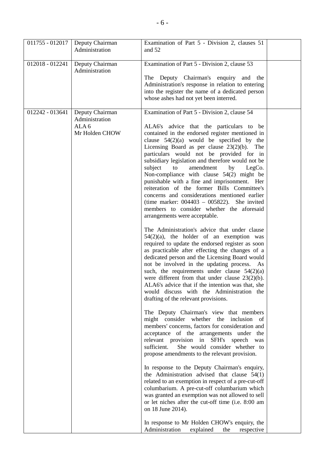| 011755 - 012017 | Deputy Chairman<br>Administration                                       | Examination of Part 5 - Division 2, clauses 51<br>and 52                                                                                                                                                                                                                                                                                                                                                                                                                                                                                                                                                                                                                                                                                                                                                                                                                                                                                                                                                                                                                                                                                                                                                                                                                                                                                                                                                                                                                                                                                                                                                                                                                                                                                                                                                                                                                                                                                                                                                           |  |
|-----------------|-------------------------------------------------------------------------|--------------------------------------------------------------------------------------------------------------------------------------------------------------------------------------------------------------------------------------------------------------------------------------------------------------------------------------------------------------------------------------------------------------------------------------------------------------------------------------------------------------------------------------------------------------------------------------------------------------------------------------------------------------------------------------------------------------------------------------------------------------------------------------------------------------------------------------------------------------------------------------------------------------------------------------------------------------------------------------------------------------------------------------------------------------------------------------------------------------------------------------------------------------------------------------------------------------------------------------------------------------------------------------------------------------------------------------------------------------------------------------------------------------------------------------------------------------------------------------------------------------------------------------------------------------------------------------------------------------------------------------------------------------------------------------------------------------------------------------------------------------------------------------------------------------------------------------------------------------------------------------------------------------------------------------------------------------------------------------------------------------------|--|
| 012018 - 012241 | Deputy Chairman<br>Administration                                       | Examination of Part 5 - Division 2, clause 53<br>The Deputy Chairman's enquiry and the<br>Administration's response in relation to entering<br>into the register the name of a dedicated person<br>whose ashes had not yet been interred.                                                                                                                                                                                                                                                                                                                                                                                                                                                                                                                                                                                                                                                                                                                                                                                                                                                                                                                                                                                                                                                                                                                                                                                                                                                                                                                                                                                                                                                                                                                                                                                                                                                                                                                                                                          |  |
| 012242 - 013641 | Deputy Chairman<br>Administration<br>ALA <sub>6</sub><br>Mr Holden CHOW | Examination of Part 5 - Division 2, clause 54<br>ALA6's advice that the particulars to be<br>contained in the endorsed register mentioned in<br>clause $54(2)(a)$ would be specified by the<br>Licensing Board as per clause $23(2)(b)$ . The<br>particulars would not be provided for in<br>subsidiary legislation and therefore would not be<br>subject<br>amendment<br>to<br>by<br>LegCo.<br>Non-compliance with clause $54(2)$ might be<br>punishable with a fine and imprisonment. Her<br>reiteration of the former Bills Committee's<br>concerns and considerations mentioned earlier<br>(time marker: $004403 - 005822$ ). She invited<br>members to consider whether the aforesaid<br>arrangements were acceptable.<br>The Administration's advice that under clause<br>$54(2)(a)$ , the holder of an exemption was<br>required to update the endorsed register as soon<br>as practicable after effecting the changes of a<br>dedicated person and the Licensing Board would<br>not be involved in the updating process. As<br>such, the requirements under clause $54(2)(a)$<br>were different from that under clause $23(2)(b)$ .<br>ALA6's advice that if the intention was that, she<br>would discuss with the Administration the<br>drafting of the relevant provisions.<br>The Deputy Chairman's view that members<br>might consider whether the inclusion of<br>members' concerns, factors for consideration and<br>acceptance of the arrangements under the<br>relevant provision in SFH's speech<br>was<br>She would consider whether to<br>sufficient.<br>propose amendments to the relevant provision.<br>In response to the Deputy Chairman's enquiry,<br>the Administration advised that clause $54(1)$<br>related to an exemption in respect of a pre-cut-off<br>columbarium. A pre-cut-off columbarium which<br>was granted an exemption was not allowed to sell<br>or let niches after the cut-off time (i.e. 8:00 am<br>on 18 June 2014).<br>In response to Mr Holden CHOW's enquiry, the |  |
|                 |                                                                         | Administration<br>explained<br>the<br>respective                                                                                                                                                                                                                                                                                                                                                                                                                                                                                                                                                                                                                                                                                                                                                                                                                                                                                                                                                                                                                                                                                                                                                                                                                                                                                                                                                                                                                                                                                                                                                                                                                                                                                                                                                                                                                                                                                                                                                                   |  |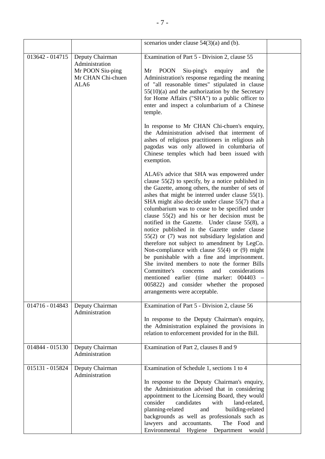|                 |                                                                                    | scenarios under clause $54(3)(a)$ and (b).                                                                                                                                                                                                                                                                                                                                                                                                                                                                                                                                                                                                                                                                                                                                                                                                                                                             |  |
|-----------------|------------------------------------------------------------------------------------|--------------------------------------------------------------------------------------------------------------------------------------------------------------------------------------------------------------------------------------------------------------------------------------------------------------------------------------------------------------------------------------------------------------------------------------------------------------------------------------------------------------------------------------------------------------------------------------------------------------------------------------------------------------------------------------------------------------------------------------------------------------------------------------------------------------------------------------------------------------------------------------------------------|--|
| 013642 - 014715 | Deputy Chairman<br>Administration<br>Mr POON Siu-ping<br>Mr CHAN Chi-chuen<br>ALA6 | Examination of Part 5 - Division 2, clause 55<br><b>POON</b><br>Siu-ping's<br>Mr<br>enquiry<br>and<br>the<br>Administration's response regarding the meaning<br>of "all reasonable times" stipulated in clause<br>$55(10)(a)$ and the authorization by the Secretary<br>for Home Affairs ("SHA") to a public officer to<br>enter and inspect a columbarium of a Chinese<br>temple.                                                                                                                                                                                                                                                                                                                                                                                                                                                                                                                     |  |
|                 |                                                                                    | In response to Mr CHAN Chi-chuen's enquiry,<br>the Administration advised that interment of<br>ashes of religious practitioners in religious ash<br>pagodas was only allowed in columbaria of<br>Chinese temples which had been issued with<br>exemption.                                                                                                                                                                                                                                                                                                                                                                                                                                                                                                                                                                                                                                              |  |
|                 |                                                                                    | ALA6's advice that SHA was empowered under<br>clause $55(2)$ to specify, by a notice published in<br>the Gazette, among others, the number of sets of<br>ashes that might be interred under clause $55(1)$ .<br>SHA might also decide under clause 55(7) that a<br>columbarium was to cease to be specified under<br>clause $55(2)$ and his or her decision must be<br>notified in the Gazette. Under clause 55(8), a<br>notice published in the Gazette under clause<br>55(2) or (7) was not subsidiary legislation and<br>therefore not subject to amendment by LegCo.<br>Non-compliance with clause $55(4)$ or (9) might<br>be punishable with a fine and imprisonment.<br>She invited members to note the former Bills<br>Committee's<br>and<br>considerations<br>concerns<br>mentioned earlier (time marker: 004403<br>005822) and consider whether the proposed<br>arrangements were acceptable. |  |
| 014716 - 014843 | Deputy Chairman<br>Administration                                                  | Examination of Part 5 - Division 2, clause 56<br>In response to the Deputy Chairman's enquiry,<br>the Administration explained the provisions in<br>relation to enforcement provided for in the Bill.                                                                                                                                                                                                                                                                                                                                                                                                                                                                                                                                                                                                                                                                                                  |  |
| 014844 - 015130 | Deputy Chairman<br>Administration                                                  | Examination of Part 2, clauses 8 and 9                                                                                                                                                                                                                                                                                                                                                                                                                                                                                                                                                                                                                                                                                                                                                                                                                                                                 |  |
| 015131 - 015824 | Deputy Chairman<br>Administration                                                  | Examination of Schedule 1, sections 1 to 4<br>In response to the Deputy Chairman's enquiry,<br>the Administration advised that in considering<br>appointment to the Licensing Board, they would<br>consider<br>candidates<br>with<br>land-related,<br>planning-related<br>and<br>building-related<br>backgrounds as well as professionals such as<br>lawyers and accountants.<br>The Food and<br>Environmental Hygiene Department would                                                                                                                                                                                                                                                                                                                                                                                                                                                                |  |